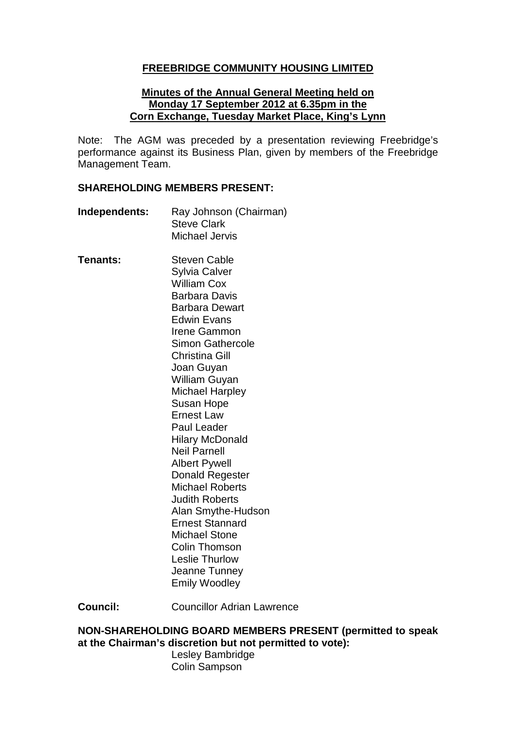## **FREEBRIDGE COMMUNITY HOUSING LIMITED**

#### **Minutes of the Annual General Meeting held on Monday 17 September 2012 at 6.35pm in the Corn Exchange, Tuesday Market Place, King's Lynn**

Note: The AGM was preceded by a presentation reviewing Freebridge's performance against its Business Plan, given by members of the Freebridge Management Team.

#### **SHAREHOLDING MEMBERS PRESENT:**

- **Independents:** Ray Johnson (Chairman) Steve Clark Michael Jervis
- **Tenants:** Steven Cable Sylvia Calver William Cox Barbara Davis Barbara Dewart Edwin Evans Irene Gammon Simon Gathercole Christina Gill Joan Guyan William Guyan Michael Harpley Susan Hope Ernest Law Paul Leader Hilary McDonald Neil Parnell Albert Pywell Donald Regester Michael Roberts Judith Roberts Alan Smythe-Hudson Ernest Stannard Michael Stone Colin Thomson Leslie Thurlow Jeanne Tunney Emily Woodley

**Council:** Councillor Adrian Lawrence

#### **NON-SHAREHOLDING BOARD MEMBERS PRESENT (permitted to speak at the Chairman's discretion but not permitted to vote):**

Lesley Bambridge Colin Sampson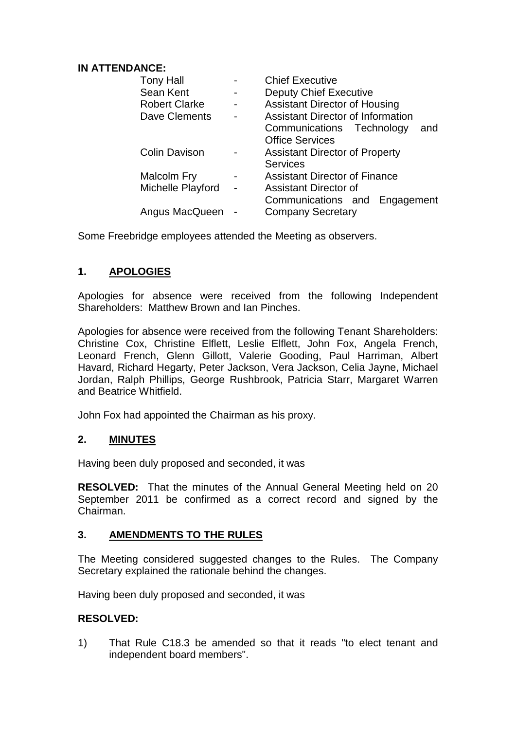### **IN ATTENDANCE:**

| <b>Tony Hall</b>     | <b>Chief Executive</b>                   |
|----------------------|------------------------------------------|
| Sean Kent            | <b>Deputy Chief Executive</b>            |
| <b>Robert Clarke</b> | <b>Assistant Director of Housing</b>     |
| Dave Clements        | <b>Assistant Director of Information</b> |
|                      | Communications Technology<br>and         |
|                      | <b>Office Services</b>                   |
| <b>Colin Davison</b> | <b>Assistant Director of Property</b>    |
|                      | <b>Services</b>                          |
| Malcolm Fry          | <b>Assistant Director of Finance</b>     |
| Michelle Playford    | <b>Assistant Director of</b>             |
|                      | Communications and Engagement            |
| Angus MacQueen       | <b>Company Secretary</b>                 |

Some Freebridge employees attended the Meeting as observers.

# **1. APOLOGIES**

Apologies for absence were received from the following Independent Shareholders: Matthew Brown and Ian Pinches.

Apologies for absence were received from the following Tenant Shareholders: Christine Cox, Christine Elflett, Leslie Elflett, John Fox, Angela French, Leonard French, Glenn Gillott, Valerie Gooding, Paul Harriman, Albert Havard, Richard Hegarty, Peter Jackson, Vera Jackson, Celia Jayne, Michael Jordan, Ralph Phillips, George Rushbrook, Patricia Starr, Margaret Warren and Beatrice Whitfield.

John Fox had appointed the Chairman as his proxy.

# **2. MINUTES**

Having been duly proposed and seconded, it was

**RESOLVED:** That the minutes of the Annual General Meeting held on 20 September 2011 be confirmed as a correct record and signed by the Chairman.

### **3. AMENDMENTS TO THE RULES**

The Meeting considered suggested changes to the Rules. The Company Secretary explained the rationale behind the changes.

Having been duly proposed and seconded, it was

# **RESOLVED:**

1) That Rule C18.3 be amended so that it reads "to elect tenant and independent board members".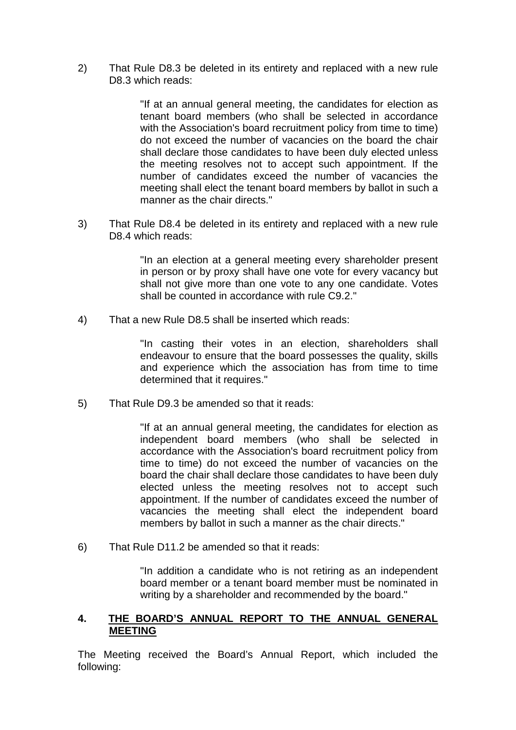2) That Rule D8.3 be deleted in its entirety and replaced with a new rule D8.3 which reads:

> "If at an annual general meeting, the candidates for election as tenant board members (who shall be selected in accordance with the Association's board recruitment policy from time to time) do not exceed the number of vacancies on the board the chair shall declare those candidates to have been duly elected unless the meeting resolves not to accept such appointment. If the number of candidates exceed the number of vacancies the meeting shall elect the tenant board members by ballot in such a manner as the chair directs."

3) That Rule D8.4 be deleted in its entirety and replaced with a new rule D8.4 which reads:

> "In an election at a general meeting every shareholder present in person or by proxy shall have one vote for every vacancy but shall not give more than one vote to any one candidate. Votes shall be counted in accordance with rule C9.2."

4) That a new Rule D8.5 shall be inserted which reads:

"In casting their votes in an election, shareholders shall endeavour to ensure that the board possesses the quality, skills and experience which the association has from time to time determined that it requires."

5) That Rule D9.3 be amended so that it reads:

"If at an annual general meeting, the candidates for election as independent board members (who shall be selected in accordance with the Association's board recruitment policy from time to time) do not exceed the number of vacancies on the board the chair shall declare those candidates to have been duly elected unless the meeting resolves not to accept such appointment. If the number of candidates exceed the number of vacancies the meeting shall elect the independent board members by ballot in such a manner as the chair directs."

6) That Rule D11.2 be amended so that it reads:

"In addition a candidate who is not retiring as an independent board member or a tenant board member must be nominated in writing by a shareholder and recommended by the board."

### **4. THE BOARD'S ANNUAL REPORT TO THE ANNUAL GENERAL MEETING**

The Meeting received the Board's Annual Report, which included the following: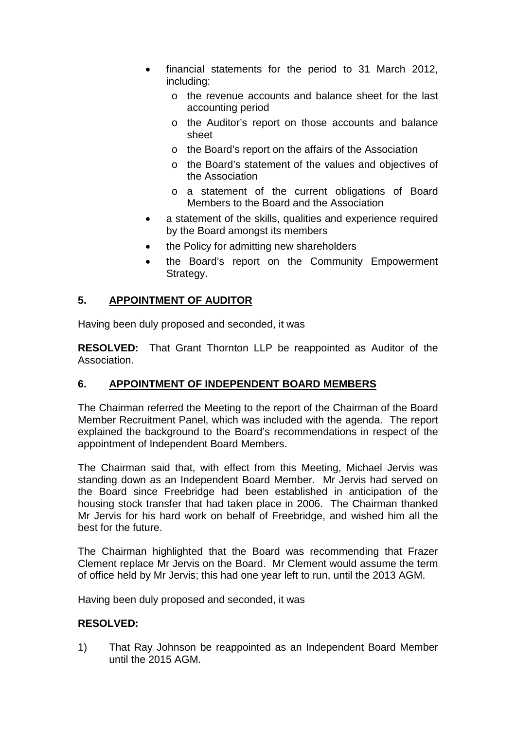- financial statements for the period to 31 March 2012, including:
	- o the revenue accounts and balance sheet for the last accounting period
	- o the Auditor's report on those accounts and balance sheet
	- o the Board's report on the affairs of the Association
	- o the Board's statement of the values and objectives of the Association
	- o a statement of the current obligations of Board Members to the Board and the Association
- a statement of the skills, qualities and experience required by the Board amongst its members
- the Policy for admitting new shareholders
- the Board's report on the Community Empowerment Strategy.

## **5. APPOINTMENT OF AUDITOR**

Having been duly proposed and seconded, it was

**RESOLVED:** That Grant Thornton LLP be reappointed as Auditor of the Association.

# **6. APPOINTMENT OF INDEPENDENT BOARD MEMBERS**

The Chairman referred the Meeting to the report of the Chairman of the Board Member Recruitment Panel, which was included with the agenda. The report explained the background to the Board's recommendations in respect of the appointment of Independent Board Members.

The Chairman said that, with effect from this Meeting, Michael Jervis was standing down as an Independent Board Member. Mr Jervis had served on the Board since Freebridge had been established in anticipation of the housing stock transfer that had taken place in 2006. The Chairman thanked Mr Jervis for his hard work on behalf of Freebridge, and wished him all the best for the future.

The Chairman highlighted that the Board was recommending that Frazer Clement replace Mr Jervis on the Board. Mr Clement would assume the term of office held by Mr Jervis; this had one year left to run, until the 2013 AGM.

Having been duly proposed and seconded, it was

### **RESOLVED:**

1) That Ray Johnson be reappointed as an Independent Board Member until the 2015 AGM.